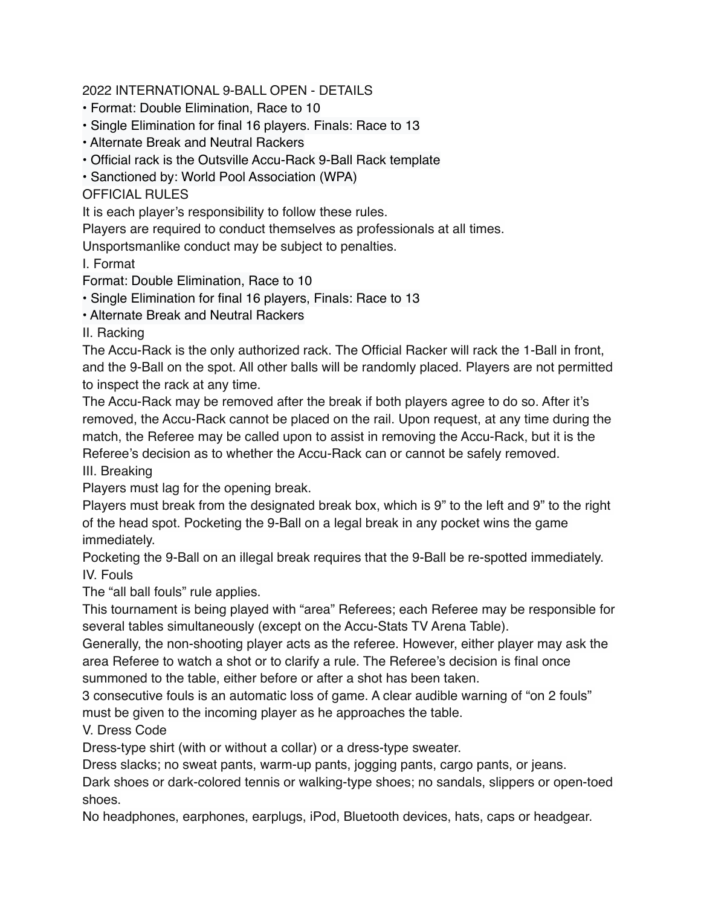## 2022 INTERNATIONAL 9-BALL OPEN - DETAILS

- Format: Double Elimination, Race to 10
- Single Elimination for final 16 players. Finals: Race to 13
- Alternate Break and Neutral Rackers
- Official rack is the Outsville Accu-Rack 9-Ball Rack template
- Sanctioned by: World Pool Association (WPA)

OFFICIAL RULES

It is each player's responsibility to follow these rules.

Players are required to conduct themselves as professionals at all times.

Unsportsmanlike conduct may be subject to penalties.

I. Format

Format: Double Elimination, Race to 10

• Single Elimination for final 16 players, Finals: Race to 13

• Alternate Break and Neutral Rackers

II. Racking

The Accu-Rack is the only authorized rack. The Official Racker will rack the 1-Ball in front, and the 9-Ball on the spot. All other balls will be randomly placed. Players are not permitted to inspect the rack at any time.

The Accu-Rack may be removed after the break if both players agree to do so. After it's removed, the Accu-Rack cannot be placed on the rail. Upon request, at any time during the match, the Referee may be called upon to assist in removing the Accu-Rack, but it is the Referee's decision as to whether the Accu-Rack can or cannot be safely removed.

III. Breaking

Players must lag for the opening break.

Players must break from the designated break box, which is 9" to the left and 9" to the right of the head spot. Pocketing the 9-Ball on a legal break in any pocket wins the game immediately.

Pocketing the 9-Ball on an illegal break requires that the 9-Ball be re-spotted immediately. IV. Fouls

The "all ball fouls" rule applies.

This tournament is being played with "area" Referees; each Referee may be responsible for several tables simultaneously (except on the Accu-Stats TV Arena Table).

Generally, the non-shooting player acts as the referee. However, either player may ask the area Referee to watch a shot or to clarify a rule. The Referee's decision is final once summoned to the table, either before or after a shot has been taken.

3 consecutive fouls is an automatic loss of game. A clear audible warning of "on 2 fouls" must be given to the incoming player as he approaches the table.

V. Dress Code

Dress-type shirt (with or without a collar) or a dress-type sweater.

Dress slacks; no sweat pants, warm-up pants, jogging pants, cargo pants, or jeans.

Dark shoes or dark-colored tennis or walking-type shoes; no sandals, slippers or open-toed shoes.

No headphones, earphones, earplugs, iPod, Bluetooth devices, hats, caps or headgear.